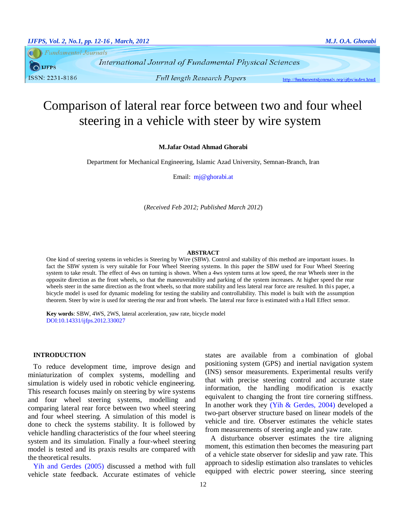**Fundamental Journals**  $\bigcap$  LIFPS ISSN: 2231-8186

**Full length Research Papers** 

http://fundamentaljournals.org/ijfps/index.html

# Comparison of lateral rear force between two and four wheel steering in a vehicle with steer by wire system

# **M.Jafar Ostad Ahmad Ghorabi**

Department for Mechanical Engineering, Islamic Azad University, Semnan-Branch, Iran

Email: mj@ghorabi.at

(*Received Feb 2012; Published March 2012*)

#### **ABSTRACT**

One kind of steering systems in vehicles is Steering by Wire (SBW). Control and stability of this method are important issues. In fact the SBW system is very suitable for Four Wheel Steering systems. In this paper the SBW used for Four Wheel Steering system to take result. The effect of 4ws on turning is shown. When a 4ws system turns at low speed, the rear Wheels steer in the opposite direction as the front wheels, so that the maneuverability and parking of the system increases. At higher speed the rear wheels steer in the same direction as the front wheels, so that more stability and less lateral rear force are resulted. In this paper, a bicycle model is used for dynamic modeling for testing the stability and controllability. This model is built with the assumption theorem. Steer by wire is used for steering the rear and front wheels. The lateral rear force is estimated with a Hall Effect sensor.

**Key words**: SBW, 4WS, 2WS, lateral acceleration, yaw rate, bicycle model DOI:10.14331/ijfps.2012.330027

## **INTRODUCTION**

To reduce development time, improve design and miniaturization of complex systems, modelling and simulation is widely used in robotic vehicle engineering. This research focuses mainly on steering by wire systems and four wheel steering systems, modelling and comparing lateral rear force between two wheel steering and four wheel steering. A simulation of this model is done to check the systems stability. It is followed by vehicle handling characteristics of the four wheel steering system and its simulation. Finally a four-wheel steering model is tested and its praxis results are compared with the theoretical results.

[Yih and Gerdes \(2005\)](#page-4-0) discussed a method with full vehicle state feedback. Accurate estimates of vehicle states are available from a combination of global positioning system (GPS) and inertial navigation system (INS) sensor measurements. Experimental results verify that with precise steering control and accurate state information, the handling modification is exactly equivalent to changing the front tire cornering stiffness. In another work they (Yih  $& Gerdes, 2004$ ) developed a two-part observer structure based on linear models of the vehicle and tire. Observer estimates the vehicle states from measurements of steering angle and yaw rate.

A disturbance observer estimates the tire aligning moment, this estimation then becomes the measuring part of a vehicle state observer for sideslip and yaw rate. This approach to sideslip estimation also translates to vehicles equipped with electric power steering, since steering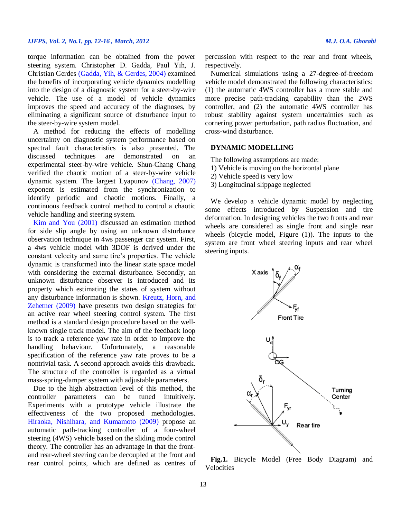torque information can be obtained from the power steering system. Christopher D. Gadda, Paul Yih, J. Christian Gerdes [\(Gadda, Yih, & Gerdes, 2004\)](#page-4-2) examined the benefits of incorporating vehicle dynamics modelling into the design of a diagnostic system for a steer-by-wire vehicle. The use of a model of vehicle dynamics improves the speed and accuracy of the diagnoses, by eliminating a significant source of disturbance input to the steer-by-wire system model.

A method for reducing the effects of modelling uncertainty on diagnostic system performance based on spectral fault characteristics is also presented. The discussed techniques are demonstrated on an experimental steer-by-wire vehicle. Shun-Chang Chang verified the chaotic motion of a steer-by-wire vehicle dynamic system. The largest Lyapunov [\(Chang, 2007\)](#page-4-3) exponent is estimated from the synchronization to identify periodic and chaotic motions. Finally, a continuous feedback control method to control a chaotic vehicle handling and steering system.

[Kim and You \(2001\)](#page-4-4) discussed an estimation method for side slip angle by using an unknown disturbance observation technique in 4ws passenger car system. First, a 4ws vehicle model with 3DOF is derived under the constant velocity and same tire's properties. The vehicle dynamic is transformed into the linear state space model with considering the external disturbance. Secondly, an unknown disturbance observer is introduced and its property which estimating the states of system without any disturbance information is shown. [Kreutz, Horn, and](#page-4-5)  [Zehetner \(2009\)](#page-4-5) have presents two design strategies for an active rear wheel steering control system. The first method is a standard design procedure based on the wellknown single track model. The aim of the feedback loop is to track a reference yaw rate in order to improve the handling behaviour. Unfortunately, a reasonable specification of the reference yaw rate proves to be a nontrivial task. A second approach avoids this drawback. The structure of the controller is regarded as a virtual mass-spring-damper system with adjustable parameters.

Due to the high abstraction level of this method, the controller parameters can be tuned intuitively. Experiments with a prototype vehicle illustrate the effectiveness of the two proposed methodologies. [Hiraoka, Nishihara, and Kumamoto \(2009\)](#page-4-6) propose an automatic path-tracking controller of a four-wheel steering (4WS) vehicle based on the sliding mode control theory. The controller has an advantage in that the frontand rear-wheel steering can be decoupled at the front and rear control points, which are defined as centres of

percussion with respect to the rear and front wheels, respectively.

Numerical simulations using a 27-degree-of-freedom vehicle model demonstrated the following characteristics: (1) the automatic 4WS controller has a more stable and more precise path-tracking capability than the 2WS controller, and (2) the automatic 4WS controller has robust stability against system uncertainties such as cornering power perturbation, path radius fluctuation, and cross-wind disturbance.

# **DYNAMIC MODELLING**

The following assumptions are made:

- 1) Vehicle is moving on the horizontal plane
- 2) Vehicle speed is very low
- 3) Longitudinal slippage neglected

We develop a vehicle dynamic model by neglecting some effects introduced by Suspension and tire deformation. In designing vehicles the two fronts and rear wheels are considered as single front and single rear wheels (bicycle model, Figure (1)). The inputs to the system are front wheel steering inputs and rear wheel steering inputs.



**Fig.1.** Bicycle Model (Free Body Diagram) and **Velocities**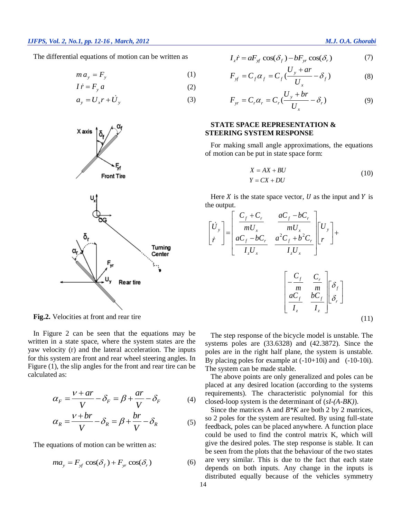The differential equations of motion can be written as

$$
m a_y = F_y \tag{1}
$$

$$
I\dot{r} = F_y a \tag{2}
$$

$$
a_y = U_x r + U_y \tag{3}
$$



**Fig.2.** Velocities at front and rear tire

In Figure 2 can be seen that the equations may be written in a state space, where the system states are the yaw velocity (r) and the lateral acceleration. The inputs for this system are front and rear wheel steering angles. In Figure (1), the slip angles for the front and rear tire can be calculated as:

$$
\alpha_F = \frac{V + ar}{V} - \delta_F = \beta + \frac{ar}{V} - \delta_F \tag{4}
$$

$$
\alpha_R = \frac{V + br}{V} - \delta_R = \beta + \frac{br}{V} - \delta_R \tag{5}
$$

The equations of motion can be written as:

$$
ma_y = F_{xf} \cos(\delta_f) + F_{yr} \cos(\delta_r)
$$
 (6)

$$
I_z \dot{r} = aF_{\rm sf} \cos(\delta_f) - bF_{\rm yr} \cos(\delta_r) \tag{7}
$$

$$
F_{xf} = C_f \alpha_f = C_f \left(\frac{U_y + ar}{U_x} - \delta_f\right)
$$
 (8)

$$
F_{yr} = C_r \alpha_r = C_r \left(\frac{U_y + br}{U_x} - \delta_r\right)
$$
 (9)

# **STATE SPACE REPRESENTATION & STEERING SYSTEM RESPONSE**

For making small angle approximations, the equations of motion can be put in state space form:

$$
X = AX + BU
$$
  
 
$$
Y = CX + DU
$$
 (10)

Here  $X$  is the state space vector,  $U$  as the input and  $Y$  is the output.

$$
\begin{bmatrix}\n\dot{U}_y \\
\dot{r}\n\end{bmatrix} = \begin{bmatrix}\n\frac{C_f + C_r}{mU_x} & \frac{aC_f - bC_r}{mU_x} \\
\frac{aC_f - bC_r}{I_zU_x} & \frac{a^2C_f + b^2C_r}{I_zU_x}\n\end{bmatrix} \begin{bmatrix}\nU_y \\
r\n\end{bmatrix} + \begin{bmatrix}\n\frac{C_f}{m} & \frac{C_r}{m} \\
\frac{aC_f}{I_z} & \frac{bC_f}{I_z}\n\end{bmatrix} \begin{bmatrix}\n\delta_f \\
\delta_r\n\end{bmatrix}
$$
\n(11)

The step response of the bicycle model is unstable. The systems poles are (33.6328) and (42.3872). Since the poles are in the right half plane, the system is unstable. By placing poles for example at (-10+10i) and (-10-10i). The system can be made stable.

The above points are only generalized and poles can be placed at any desired location (according to the systems requirements). The characteristic polynomial for this closed-loop system is the determinant of (*sI-(A-BK)*).

Since the matrices A and *B\*K* are both 2 by 2 matrices, so 2 poles for the system are resulted. By using full-state feedback, poles can be placed anywhere. A function place could be used to find the control matrix K, which will give the desired poles. The step response is stable. It can be seen from the plots that the behaviour of the two states are very similar. This is due to the fact that each state depends on both inputs. Any change in the inputs is distributed equally because of the vehicles symmetry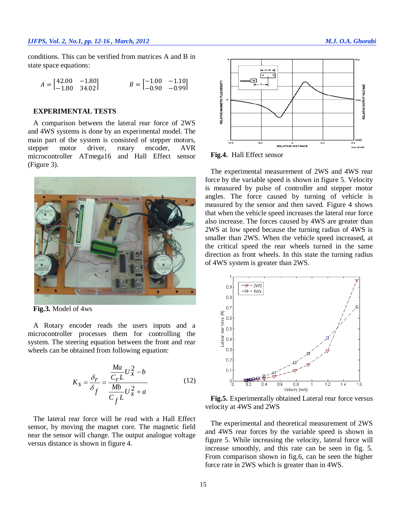conditions. This can be verified from matrices A and B in state space equations:

$$
A = \begin{bmatrix} 42.00 & -1.80 \\ -1.80 & 34.02 \end{bmatrix} \qquad B = \begin{bmatrix} -1.00 & -1.10 \\ -0.90 & -0.99 \end{bmatrix}
$$

## **EXPERIMENTAL TESTS**

A comparison between the lateral rear force of 2WS and 4WS systems is done by an experimental model. The main part of the system is consisted of stepper motors, stepper motor driver, rotary encoder, AVR microcontroller ATmega16 and Hall Effect sensor (Figure 3).



**Fig.3.** Model of 4ws

A Rotary encoder reads the users inputs and a microcontroller processes them for controlling the system. The steering equation between the front and rear wheels can be obtained from following equation:

$$
K_S = \frac{\delta_r}{\delta_f} = \frac{\frac{Ma}{C_r L} U_x^2 - b}{\frac{Mb}{C_f L} U_x^2 + a}
$$
(12)

The lateral rear force will be read with a Hall Effect sensor, by moving the magnet core. The magnetic field near the sensor will change. The output analogue voltage versus distance is shown in figure 4.



**Fig.4.** Hall Effect sensor

The experimental measurement of 2WS and 4WS rear force by the variable speed is shown in figure 5. Velocity is measured by pulse of controller and stepper motor angles. The force caused by turning of vehicle is measured by the sensor and then saved. Figure 4 shows that when the vehicle speed increases the lateral rear force also increase. The forces caused by 4WS are greater than 2WS at low speed because the turning radius of 4WS is smaller than 2WS. When the vehicle speed increased, at the critical speed the rear wheels turned in the same direction as front wheels. In this state the turning radius of 4WS system is greater than 2WS.



**Fig.5.** Experimentally obtained Lateral rear force versus velocity at 4WS and 2WS

The experimental and theoretical measurement of 2WS and 4WS rear forces by the variable speed is shown in figure 5. While increasing the velocity, lateral force will increase smoothly, and this rate can be seen in fig. 5. From comparison shown in fig.6, can be seen the higher force rate in 2WS which is greater than in 4WS.